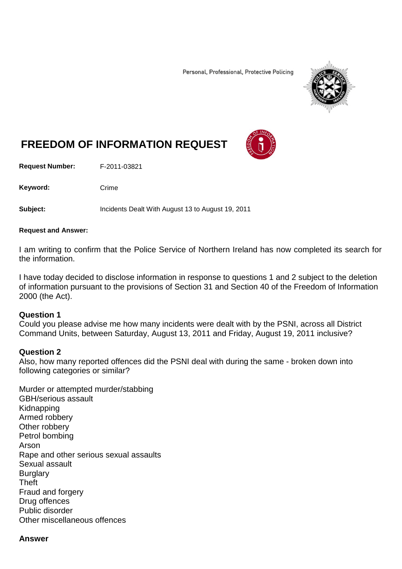Personal, Professional, Protective Policing



# **FREEDOM OF INFORMATION REQUEST**

**Request Number:** F-2011-03821

Keyword: Crime

**Subject:** Incidents Dealt With August 13 to August 19, 2011

#### **Request and Answer:**

I am writing to confirm that the Police Service of Northern Ireland has now completed its search for the information.

I have today decided to disclose information in response to questions 1 and 2 subject to the deletion of information pursuant to the provisions of Section 31 and Section 40 of the Freedom of Information 2000 (the Act).

#### **Question 1**

Could you please advise me how many incidents were dealt with by the PSNI, across all District Command Units, between Saturday, August 13, 2011 and Friday, August 19, 2011 inclusive?

#### **Question 2**

Also, how many reported offences did the PSNI deal with during the same - broken down into following categories or similar?

Murder or attempted murder/stabbing GBH/serious assault Kidnapping Armed robbery Other robbery Petrol bombing Arson Rape and other serious sexual assaults Sexual assault **Burglary** Theft Fraud and forgery Drug offences Public disorder Other miscellaneous offences

#### **Answer**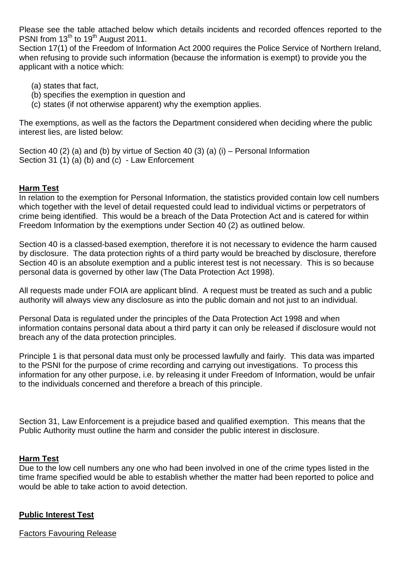Please see the table attached below which details incidents and recorded offences reported to the PSNI from 13<sup>th</sup> to 19<sup>th</sup> August 2011.

Section 17(1) of the Freedom of Information Act 2000 requires the Police Service of Northern Ireland, when refusing to provide such information (because the information is exempt) to provide you the applicant with a notice which:

- (a) states that fact,
- (b) specifies the exemption in question and
- (c) states (if not otherwise apparent) why the exemption applies.

The exemptions, as well as the factors the Department considered when deciding where the public interest lies, are listed below:

Section 40 (2) (a) and (b) by virtue of Section 40 (3) (a) (i) – Personal Information Section 31 (1) (a) (b) and (c) - Law Enforcement

# **Harm Test**

In relation to the exemption for Personal Information, the statistics provided contain low cell numbers which together with the level of detail requested could lead to individual victims or perpetrators of crime being identified. This would be a breach of the Data Protection Act and is catered for within Freedom Information by the exemptions under Section 40 (2) as outlined below.

Section 40 is a classed-based exemption, therefore it is not necessary to evidence the harm caused by disclosure. The data protection rights of a third party would be breached by disclosure, therefore Section 40 is an absolute exemption and a public interest test is not necessary. This is so because personal data is governed by other law (The Data Protection Act 1998).

All requests made under FOIA are applicant blind. A request must be treated as such and a public authority will always view any disclosure as into the public domain and not just to an individual.

Personal Data is regulated under the principles of the Data Protection Act 1998 and when information contains personal data about a third party it can only be released if disclosure would not breach any of the data protection principles.

Principle 1 is that personal data must only be processed lawfully and fairly. This data was imparted to the PSNI for the purpose of crime recording and carrying out investigations. To process this information for any other purpose, i.e. by releasing it under Freedom of Information, would be unfair to the individuals concerned and therefore a breach of this principle.

Section 31, Law Enforcement is a prejudice based and qualified exemption. This means that the Public Authority must outline the harm and consider the public interest in disclosure.

#### **Harm Test**

Due to the low cell numbers any one who had been involved in one of the crime types listed in the time frame specified would be able to establish whether the matter had been reported to police and would be able to take action to avoid detection.

#### **Public Interest Test**

Factors Favouring Release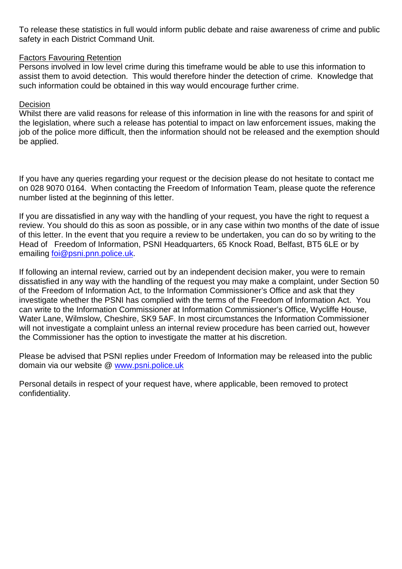To release these statistics in full would inform public debate and raise awareness of crime and public safety in each District Command Unit.

## Factors Favouring Retention

Persons involved in low level crime during this timeframe would be able to use this information to assist them to avoid detection. This would therefore hinder the detection of crime. Knowledge that such information could be obtained in this way would encourage further crime.

### **Decision**

Whilst there are valid reasons for release of this information in line with the reasons for and spirit of the legislation, where such a release has potential to impact on law enforcement issues, making the job of the police more difficult, then the information should not be released and the exemption should be applied.

If you have any queries regarding your request or the decision please do not hesitate to contact me on 028 9070 0164. When contacting the Freedom of Information Team, please quote the reference number listed at the beginning of this letter.

If you are dissatisfied in any way with the handling of your request, you have the right to request a review. You should do this as soon as possible, or in any case within two months of the date of issue of this letter. In the event that you require a review to be undertaken, you can do so by writing to the Head of Freedom of Information, PSNI Headquarters, 65 Knock Road, Belfast, BT5 6LE or by emailing [foi@psni.pnn.police.uk.](mailto:foi@psni.pnn.police.uk)

If following an internal review, carried out by an independent decision maker, you were to remain dissatisfied in any way with the handling of the request you may make a complaint, under Section 50 of the Freedom of Information Act, to the Information Commissioner's Office and ask that they investigate whether the PSNI has complied with the terms of the Freedom of Information Act. You can write to the Information Commissioner at Information Commissioner's Office, Wycliffe House, Water Lane, Wilmslow, Cheshire, SK9 5AF. In most circumstances the Information Commissioner will not investigate a complaint unless an internal review procedure has been carried out, however the Commissioner has the option to investigate the matter at his discretion.

Please be advised that PSNI replies under Freedom of Information may be released into the public domain via our website @ [www.psni.police.uk](http://www.psni.police.uk/)

Personal details in respect of your request have, where applicable, been removed to protect confidentiality.